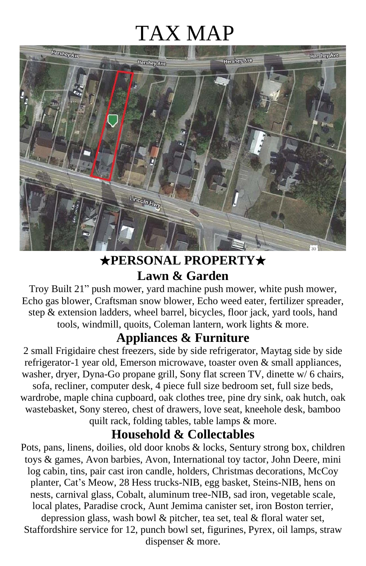# TAX MAP



#### ★**PERSONAL PROPERTY**★ **Lawn & Garden**

Troy Built 21" push mower, yard machine push mower, white push mower, Echo gas blower, Craftsman snow blower, Echo weed eater, fertilizer spreader, step & extension ladders, wheel barrel, bicycles, floor jack, yard tools, hand tools, windmill, quoits, Coleman lantern, work lights & more.

#### **Appliances & Furniture**

2 small Frigidaire chest freezers, side by side refrigerator, Maytag side by side refrigerator-1 year old, Emerson microwave, toaster oven & small appliances, washer, dryer, Dyna-Go propane grill, Sony flat screen TV, dinette w/6 chairs, sofa, recliner, computer desk, 4 piece full size bedroom set, full size beds, wardrobe, maple china cupboard, oak clothes tree, pine dry sink, oak hutch, oak wastebasket, Sony stereo, chest of drawers, love seat, kneehole desk, bamboo quilt rack, folding tables, table lamps & more.

#### **Household & Collectables**

Pots, pans, linens, doilies, old door knobs & locks, Sentury strong box, children toys & games, Avon barbies, Avon, International toy tactor, John Deere, mini log cabin, tins, pair cast iron candle, holders, Christmas decorations, McCoy planter, Cat's Meow, 28 Hess trucks-NIB, egg basket, Steins-NIB, hens on nests, carnival glass, Cobalt, aluminum tree-NIB, sad iron, vegetable scale, local plates, Paradise crock, Aunt Jemima canister set, iron Boston terrier, depression glass, wash bowl & pitcher, tea set, teal & floral water set, Staffordshire service for 12, punch bowl set, figurines, Pyrex, oil lamps, straw dispenser & more.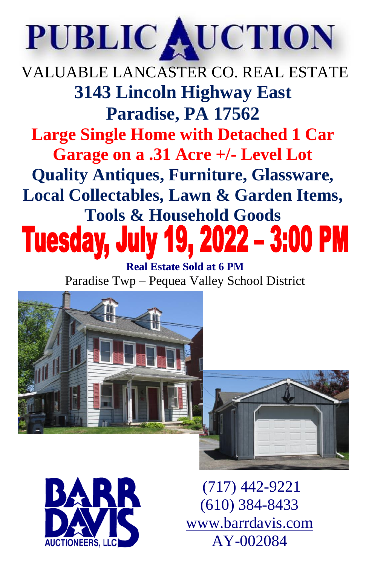# PUBLIC AUCTION

VALUABLE LANCASTER CO. REAL ESTATE **3143 Lincoln Highway East Paradise, PA 17562 Large Single Home with Detached 1 Car Garage on a .31 Acre +/- Level Lot Quality Antiques, Furniture, Glassware, Local Collectables, Lawn & Garden Items, Tools & Household Goods Tuesday, July** 

**Real Estate Sold at 6 PM** Paradise Twp – Pequea Valley School District







(717) 442-9221 (610) 384-8433 [www.barrdavis.com](http://www.barrdavis.com/) AY-002084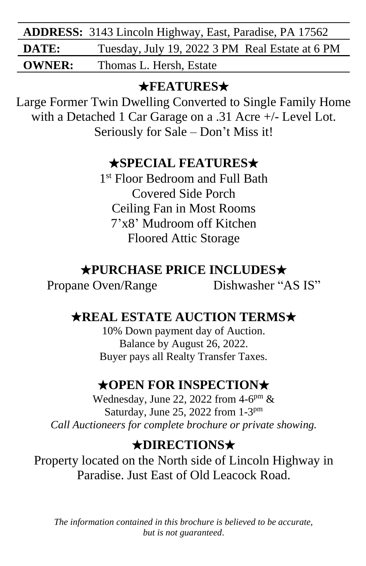|               | <b>ADDRESS:</b> 3143 Lincoln Highway, East, Paradise, PA 17562 |  |  |
|---------------|----------------------------------------------------------------|--|--|
| DATE:         | Tuesday, July 19, 2022 3 PM Real Estate at 6 PM                |  |  |
| <b>OWNER:</b> | Thomas L. Hersh, Estate                                        |  |  |

#### ★**FEATURES**★

Large Former Twin Dwelling Converted to Single Family Home with a Detached 1 Car Garage on a .31 Acre +/- Level Lot. Seriously for Sale – Don't Miss it!

#### ★**SPECIAL FEATURES**★

1 st Floor Bedroom and Full Bath Covered Side Porch Ceiling Fan in Most Rooms 7'x8' Mudroom off Kitchen Floored Attic Storage

#### ★**PURCHASE PRICE INCLUDES**★

Propane Oven/Range Dishwasher "AS IS"

## ★**REAL ESTATE AUCTION TERMS**★

10% Down payment day of Auction. Balance by August 26, 2022. Buyer pays all Realty Transfer Taxes.

### ★**OPEN FOR INSPECTION**★

Wednesday, June 22, 2022 from  $4-6^{pm}$  & Saturday, June 25, 2022 from 1-3<sup>pm</sup> *Call Auctioneers for complete brochure or private showing.*

### ★**DIRECTIONS**★

Property located on the North side of Lincoln Highway in Paradise. Just East of Old Leacock Road.

*The information contained in this brochure is believed to be accurate, but is not guaranteed*.